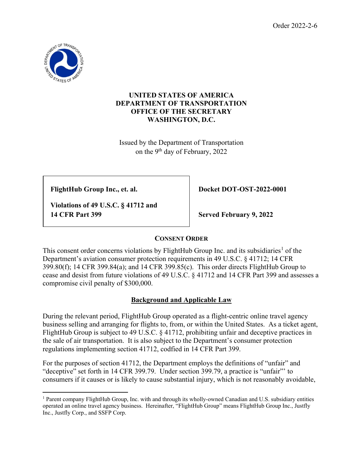

#### **UNITED STATES OF AMERICA DEPARTMENT OF TRANSPORTATION OFFICE OF THE SECRETARY WASHINGTON, D.C.**

Issued by the Department of Transportation on the 9th day of February, 2022

 **Violations of 49 U.S.C. § 41712 and 14 CFR Part 399 Served February 9, 2022**

 **FlightHub Group Inc., et. al. Docket DOT-OST-2022-0001**

# **CONSENT ORDER**

This consent order concerns violations by FlightHub Group Inc. and its subsidiaries<sup>[1](#page-0-0)</sup> of the Department's aviation consumer protection requirements in 49 U.S.C. § 41712; 14 CFR 399.80(f); 14 CFR 399.84(a); and 14 CFR 399.85(c). This order directs FlightHub Group to cease and desist from future violations of 49 U.S.C. § 41712 and 14 CFR Part 399 and assesses a compromise civil penalty of \$300,000.

# **Background and Applicable Law**

During the relevant period, FlightHub Group operated as a flight-centric online travel agency business selling and arranging for flights to, from, or within the United States. As a ticket agent, FlightHub Group is subject to 49 U.S.C. § 41712, prohibiting unfair and deceptive practices in the sale of air transportation. It is also subject to the Department's consumer protection regulations implementing section 41712, codfied in 14 CFR Part 399.

For the purposes of section 41712, the Department employs the definitions of "unfair" and "deceptive" set forth in 14 CFR 399.79. Under section 399.79, a practice is "unfair"' to consumers if it causes or is likely to cause substantial injury, which is not reasonably avoidable,

<span id="page-0-0"></span><sup>1</sup> Parent company FlightHub Group, Inc. with and through its wholly-owned Canadian and U.S. subsidiary entities operated an online travel agency business. Hereinafter, "FlightHub Group" means FlightHub Group Inc., Justfly Inc., Justfly Corp., and SSFP Corp.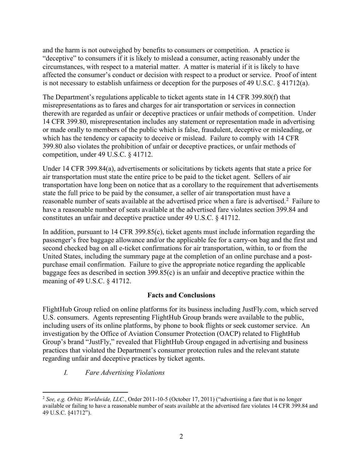and the harm is not outweighed by benefits to consumers or competition. A practice is "deceptive" to consumers if it is likely to mislead a consumer, acting reasonably under the circumstances, with respect to a material matter. A matter is material if it is likely to have affected the consumer's conduct or decision with respect to a product or service. Proof of intent is not necessary to establish unfairness or deception for the purposes of 49 U.S.C. § 41712(a).

The Department's regulations applicable to ticket agents state in 14 CFR 399.80(f) that misrepresentations as to fares and charges for air transportation or services in connection therewith are regarded as unfair or deceptive practices or unfair methods of competition. Under 14 CFR 399.80, misrepresentation includes any statement or representation made in advertising or made orally to members of the public which is false, fraudulent, deceptive or misleading, or which has the tendency or capacity to deceive or mislead. Failure to comply with 14 CFR 399.80 also violates the prohibition of unfair or deceptive practices, or unfair methods of competition, under 49 U.S.C. § 41712.

Under 14 CFR 399.84(a), advertisements or solicitations by tickets agents that state a price for air transportation must state the entire price to be paid to the ticket agent. Sellers of air transportation have long been on notice that as a corollary to the requirement that advertisements state the full price to be paid by the consumer, a seller of air transportation must have a reasonable number of seats available at the advertised price when a fare is advertised.<sup>[2](#page-1-0)</sup> Failure to have a reasonable number of seats available at the advertised fare violates section 399.84 and constitutes an unfair and deceptive practice under 49 U.S.C. § 41712.

In addition, pursuant to 14 CFR 399.85(c), ticket agents must include information regarding the passenger's free baggage allowance and/or the applicable fee for a carry-on bag and the first and second checked bag on all e-ticket confirmations for air transportation, within, to or from the United States, including the summary page at the completion of an online purchase and a postpurchase email confirmation. Failure to give the appropriate notice regarding the applicable baggage fees as described in section 399.85(c) is an unfair and deceptive practice within the meaning of 49 U.S.C. § 41712.

#### **Facts and Conclusions**

FlightHub Group relied on online platforms for its business including JustFly.com, which served U.S. consumers. Agents representing FlightHub Group brands were available to the public, including users of its online platforms, by phone to book flights or seek customer service. An investigation by the Office of Aviation Consumer Protection (OACP) related to FlightHub Group's brand "JustFly," revealed that FlightHub Group engaged in advertising and business practices that violated the Department's consumer protection rules and the relevant statute regarding unfair and deceptive practices by ticket agents.

*I. Fare Advertising Violations*

<span id="page-1-0"></span><sup>2</sup> *See, e.g. Orbitz Worldwide, LLC.*, Order 2011-10-5 (October 17, 2011) ("advertising a fare that is no longer available or failing to have a reasonable number of seats available at the advertised fare violates 14 CFR 399.84 and 49 U.S.C. §41712").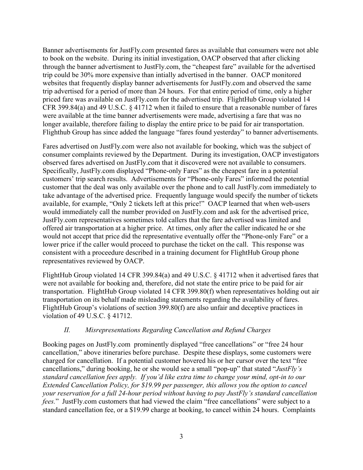Banner advertisements for JustFly.com presented fares as available that consumers were not able to book on the website. During its initial investigation, OACP observed that after clicking through the banner advertisment to JustFly.com, the "cheapest fare" available for the advertised trip could be 30% more expensive than intially advertised in the banner. OACP monitored websites that frequently display banner advertisements for JustFly.com and observed the same trip advertised for a period of more than 24 hours. For that entire period of time, only a higher priced fare was available on JustFly.com for the advertised trip. FlightHub Group violated 14 CFR 399.84(a) and 49 U.S.C. § 41712 when it failed to ensure that a reasonable number of fares were available at the time banner advertisements were made, advertising a fare that was no longer available, therefore failing to display the entire price to be paid for air transportation. Flighthub Group has since added the language "fares found yesterday" to banner advertisements.

Fares advertised on JustFly.com were also not available for booking, which was the subject of consumer complaints reviewed by the Department. During its investigation, OACP investigators observed fares advertised on JustFly.com that it discovered were not available to consumers. Specifically, JustFly.com displayed "Phone-only Fares" as the cheapest fare in a potential customers' trip search results. Advertisements for "Phone-only Fares" informed the potential customer that the deal was only available over the phone and to call JustFly.com immediately to take advantage of the advertised price. Frequently language would specify the number of tickets available, for example, "Only 2 tickets left at this price!" OACP learned that when web-users would immediately call the number provided on JustFly.com and ask for the advertised price, JustFly.com representatives sometimes told callers that the fare advertised was limited and offered air transportation at a higher price. At times, only after the caller indicated he or she would not accept that price did the representative eventually offer the "Phone-only Fare" or a lower price if the caller would proceed to purchase the ticket on the call. This response was consistent with a proceedure described in a training document for FlightHub Group phone representatives reviewed by OACP.

FlightHub Group violated 14 CFR 399.84(a) and 49 U.S.C. § 41712 when it advertised fares that were not available for booking and, therefore, did not state the entire price to be paid for air transportation. FlightHub Group violated 14 CFR 399.80(f) when representatives holding out air transportation on its behalf made misleading statements regarding the availability of fares. FlightHub Group's violations of section 399.80(f) are also unfair and deceptive practices in violation of 49 U.S.C. § 41712.

#### *II. Misrepresentations Regarding Cancellation and Refund Charges*

Booking pages on JustFly.com prominently displayed "free cancellations" or "free 24 hour cancellation," above itineraries before purchase. Despite these displays, some customers were charged for cancellation. If a potential customer hovered his or her cursor over the text "free cancellations," during booking, he or she would see a small "pop-up" that stated "*JustFly's standard cancellation fees apply. If you'd like extra time to change your mind, opt-in to our Extended Cancellation Policy, for \$19.99 per passenger, this allows you the option to cancel your reservation for a full 24-hour period without having to pay JustFly's standard cancellation fees.*" JustFly.com customers that had viewed the claim "free cancellations" were subject to a standard cancellation fee, or a \$19.99 charge at booking, to cancel within 24 hours. Complaints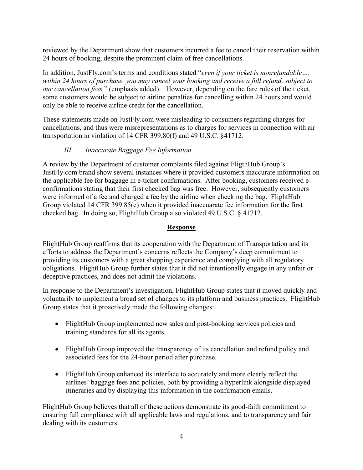reviewed by the Department show that customers incurred a fee to cancel their reservation within 24 hours of booking, despite the prominent claim of free cancellations.

In addition, JustFly.com's terms and conditions stated "*even if your ticket is nonrefundable…. within 24 hours of purchase, you may cancel your booking and receive a full refund, subject to our cancellation fees.*" (emphasis added). However, depending on the fare rules of the ticket, some customers would be subject to airline penalties for cancelling within 24 hours and would only be able to receive airline credit for the cancellation.

These statements made on JustFly.com were misleading to consumers regarding charges for cancellations, and thus were misrepresentations as to charges for services in connection with air transportation in violation of 14 CFR 399.80(f) and 49 U.S.C. §41712.

## *III. Inaccurate Baggage Fee Information*

A review by the Department of customer complaints filed against FligthHub Group's JustFly.com brand show several instances where it provided customers inaccurate information on the applicable fee for baggage in e-ticket confirmations. After booking, customers received econfirmations stating that their first checked bag was free. However, subsequently customers were informed of a fee and charged a fee by the airline when checking the bag. FlightHub Group violated 14 CFR 399.85(c) when it provided inaccuarate fee information for the first checked bag. In doing so, FlightHub Group also violated 49 U.S.C. § 41712.

## **Response**

FlightHub Group reaffirms that its cooperation with the Department of Transportation and its efforts to address the Department's concerns reflects the Company's deep commitment to providing its customers with a great shopping experience and complying with all regulatory obligations. FlightHub Group further states that it did not intentionally engage in any unfair or deceptive practices, and does not admit the violations.

In response to the Department's investigation, FlightHub Group states that it moved quickly and voluntarily to implement a broad set of changes to its platform and business practices. FlightHub Group states that it proactively made the following changes:

- FlightHub Group implemented new sales and post-booking services policies and training standards for all its agents.
- FlightHub Group improved the transparency of its cancellation and refund policy and associated fees for the 24-hour period after purchase.
- FlightHub Group enhanced its interface to accurately and more clearly reflect the airlines' baggage fees and policies, both by providing a hyperlink alongside displayed itineraries and by displaying this information in the confirmation emails.

FlightHub Group believes that all of these actions demonstrate its good-faith commitment to ensuring full compliance with all applicable laws and regulations, and to transparency and fair dealing with its customers.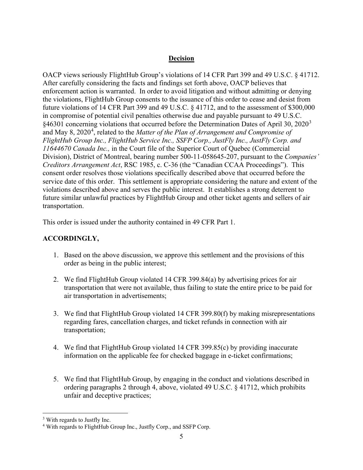#### **Decision**

OACP views seriously FlightHub Group's violations of 14 CFR Part 399 and 49 U.S.C. § 41712. After carefully considering the facts and findings set forth above, OACP believes that enforcement action is warranted. In order to avoid litigation and without admitting or denying the violations, FlightHub Group consents to the issuance of this order to cease and desist from future violations of 14 CFR Part 399 and 49 U.S.C. § 41712, and to the assessment of \$300,000 in compromise of potential civil penalties otherwise due and payable pursuant to 49 U.S.C. §46[3](#page-4-0)01 concerning violations that occurred before the Determination Dates of April 30, 2020<sup>3</sup> and May 8, 2020<sup>[4](#page-4-1)</sup>, related to the *Matter of the Plan of Arrangement and Compromise of FlightHub Group Inc., FlightHub Service Inc., SSFP Corp., JustFly Inc., JustFly Corp. and 11644670 Canada Inc.,* in the Court file of the Superior Court of Quebec (Commercial Division), District of Montreal, bearing number 500-11-058645-207, pursuant to the *Companies' Creditors Arrangement Act*, RSC 1985, c. C-36 (the "Canadian CCAA Proceedings"). This consent order resolves those violations specifically described above that occurred before the service date of this order. This settlement is appropriate considering the nature and extent of the violations described above and serves the public interest. It establishes a strong deterrent to future similar unlawful practices by FlightHub Group and other ticket agents and sellers of air transportation.

This order is issued under the authority contained in 49 CFR Part 1.

# **ACCORDINGLY,**

- 1. Based on the above discussion, we approve this settlement and the provisions of this order as being in the public interest;
- 2. We find FlightHub Group violated 14 CFR 399.84(a) by advertising prices for air transportation that were not available, thus failing to state the entire price to be paid for air transportation in advertisements;
- 3. We find that FlightHub Group violated 14 CFR 399.80(f) by making misrepresentations regarding fares, cancellation charges, and ticket refunds in connection with air transportation;
- 4. We find that FlightHub Group violated 14 CFR 399.85(c) by providing inaccurate information on the applicable fee for checked baggage in e-ticket confirmations;
- 5. We find that FlightHub Group, by engaging in the conduct and violations described in ordering paragraphs 2 through 4, above, violated 49 U.S.C. § 41712, which prohibits unfair and deceptive practices;

<span id="page-4-0"></span><sup>3</sup> With regards to Justfly Inc.

<span id="page-4-1"></span><sup>4</sup> With regards to FlightHub Group Inc., Justfly Corp., and SSFP Corp.